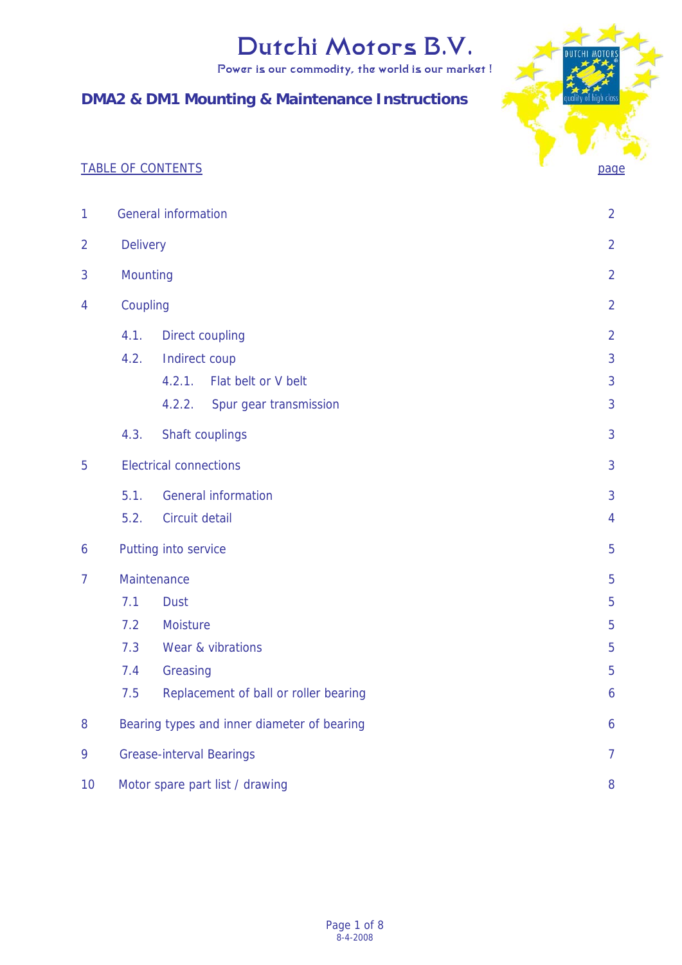Power is our commodity, the world is our market !

# **DMA2 & DM1 Mounting & Maintenance Instructions**



| $\mathbf{1}$   | <b>General information</b>                        |                                       |                |  |
|----------------|---------------------------------------------------|---------------------------------------|----------------|--|
| $\overline{2}$ | <b>Delivery</b>                                   |                                       |                |  |
| 3              | Mounting                                          |                                       |                |  |
| 4              | Coupling                                          |                                       |                |  |
|                | 4.1.                                              | Direct coupling                       | $\overline{2}$ |  |
|                | 4.2.                                              | Indirect coup                         | 3              |  |
|                |                                                   | 4.2.1.<br>Flat belt or V belt         | 3              |  |
|                |                                                   | 4.2.2.<br>Spur gear transmission      | 3              |  |
|                | 4.3.                                              | Shaft couplings                       | 3              |  |
| 5              | <b>Electrical connections</b>                     |                                       |                |  |
|                | 5.1.                                              | <b>General information</b>            | 3              |  |
|                | 5.2.                                              | Circuit detail                        | $\overline{4}$ |  |
| 6              | Putting into service                              |                                       | 5              |  |
| $\overline{7}$ | Maintenance                                       |                                       |                |  |
|                | 7.1                                               | <b>Dust</b>                           |                |  |
|                | 7.2                                               | Moisture                              |                |  |
|                | 7.3                                               | Wear & vibrations                     |                |  |
|                | 7.4                                               | Greasing                              | 5              |  |
|                | 7.5                                               | Replacement of ball or roller bearing | 6              |  |
| 8              | Bearing types and inner diameter of bearing<br>6  |                                       |                |  |
| 9              | <b>Grease-interval Bearings</b><br>$\overline{7}$ |                                       |                |  |
| 10             | Motor spare part list / drawing<br>8              |                                       |                |  |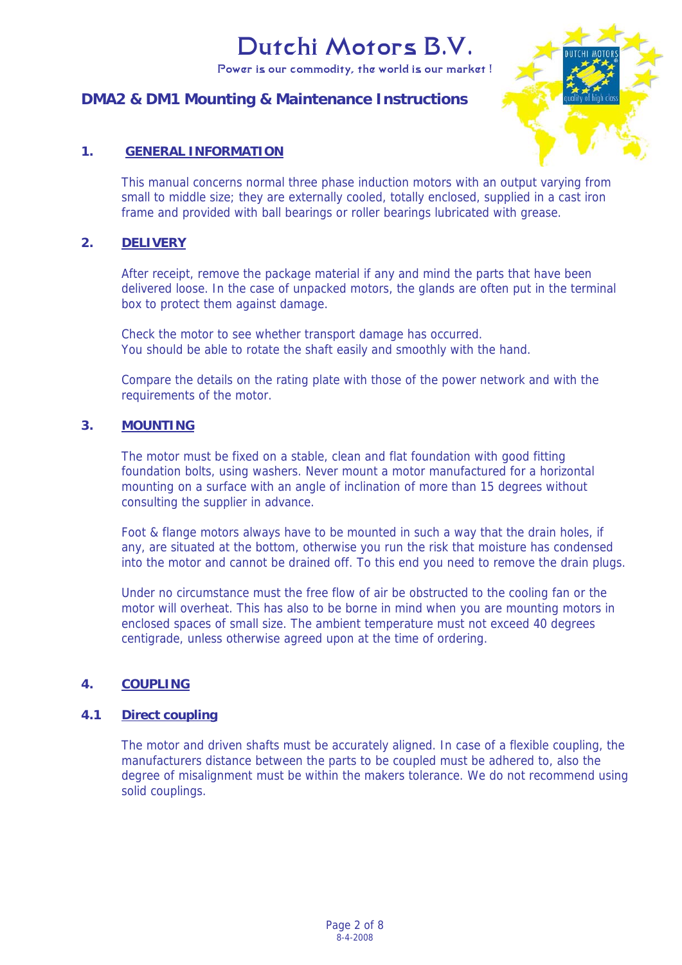Power is our commodity, the world is our market !

# **DMA2 & DM1 Mounting & Maintenance Instructions**



# **1. GENERAL INFORMATION**

This manual concerns normal three phase induction motors with an output varying from small to middle size; they are externally cooled, totally enclosed, supplied in a cast iron frame and provided with ball bearings or roller bearings lubricated with grease.

#### **2. DELIVERY**

After receipt, remove the package material if any and mind the parts that have been delivered loose. In the case of unpacked motors, the glands are often put in the terminal box to protect them against damage.

Check the motor to see whether transport damage has occurred. You should be able to rotate the shaft easily and smoothly with the hand.

Compare the details on the rating plate with those of the power network and with the requirements of the motor.

# **3. MOUNTING**

The motor must be fixed on a stable, clean and flat foundation with good fitting foundation bolts, using washers. Never mount a motor manufactured for a horizontal mounting on a surface with an angle of inclination of more than 15 degrees without consulting the supplier in advance.

Foot & flange motors always have to be mounted in such a way that the drain holes, if any, are situated at the bottom, otherwise you run the risk that moisture has condensed into the motor and cannot be drained off. To this end you need to remove the drain plugs.

Under no circumstance must the free flow of air be obstructed to the cooling fan or the motor will overheat. This has also to be borne in mind when you are mounting motors in enclosed spaces of small size. The ambient temperature must not exceed 40 degrees centigrade, unless otherwise agreed upon at the time of ordering.

# **4. COUPLING**

# **4.1 Direct coupling**

The motor and driven shafts must be accurately aligned. In case of a flexible coupling, the manufacturers distance between the parts to be coupled must be adhered to, also the degree of misalignment must be within the makers tolerance. We do not recommend using solid couplings.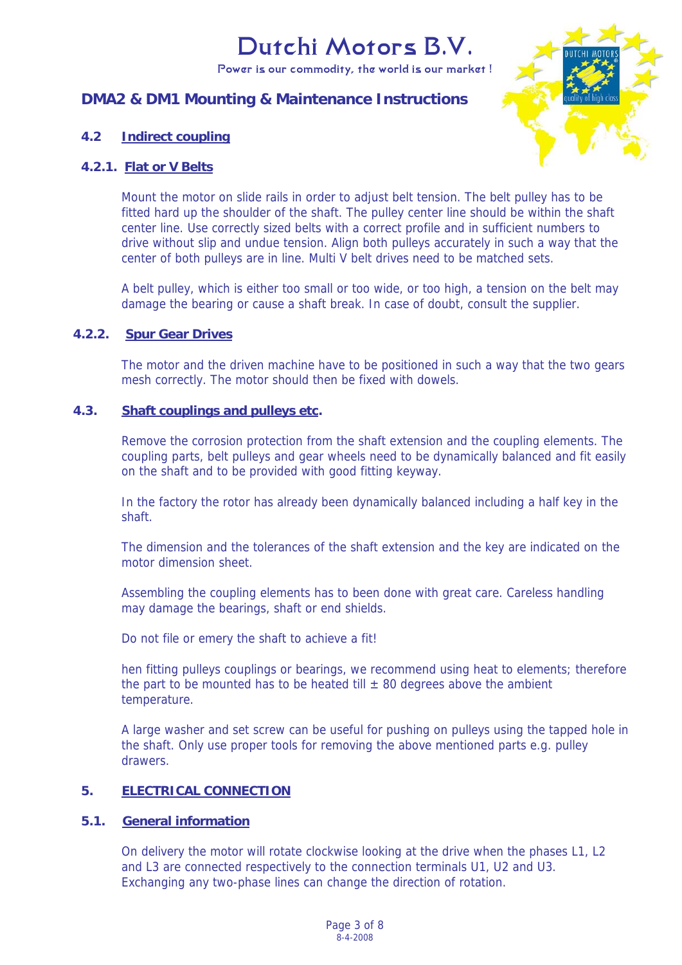Power is our commodity, the world is our market !

# **DMA2 & DM1 Mounting & Maintenance Instructions**



# **4.2 Indirect coupling**

# **4.2.1. Flat or V Belts**

Mount the motor on slide rails in order to adjust belt tension. The belt pulley has to be fitted hard up the shoulder of the shaft. The pulley center line should be within the shaft center line. Use correctly sized belts with a correct profile and in sufficient numbers to drive without slip and undue tension. Align both pulleys accurately in such a way that the center of both pulleys are in line. Multi V belt drives need to be matched sets.

A belt pulley, which is either too small or too wide, or too high, a tension on the belt may damage the bearing or cause a shaft break. In case of doubt, consult the supplier.

#### **4.2.2. Spur Gear Drives**

The motor and the driven machine have to be positioned in such a way that the two gears mesh correctly. The motor should then be fixed with dowels.

# **4.3. Shaft couplings and pulleys etc.**

Remove the corrosion protection from the shaft extension and the coupling elements. The coupling parts, belt pulleys and gear wheels need to be dynamically balanced and fit easily on the shaft and to be provided with good fitting keyway.

In the factory the rotor has already been dynamically balanced including a half key in the shaft.

The dimension and the tolerances of the shaft extension and the key are indicated on the motor dimension sheet.

Assembling the coupling elements has to been done with great care. Careless handling may damage the bearings, shaft or end shields.

Do not file or emery the shaft to achieve a fit!

hen fitting pulleys couplings or bearings, we recommend using heat to elements; therefore the part to be mounted has to be heated till  $\pm$  80 degrees above the ambient temperature.

A large washer and set screw can be useful for pushing on pulleys using the tapped hole in the shaft. Only use proper tools for removing the above mentioned parts e.g. pulley drawers.

# **5. ELECTRICAL CONNECTION**

# **5.1. General information**

On delivery the motor will rotate clockwise looking at the drive when the phases L1, L2 and L3 are connected respectively to the connection terminals U1, U2 and U3. Exchanging any two-phase lines can change the direction of rotation.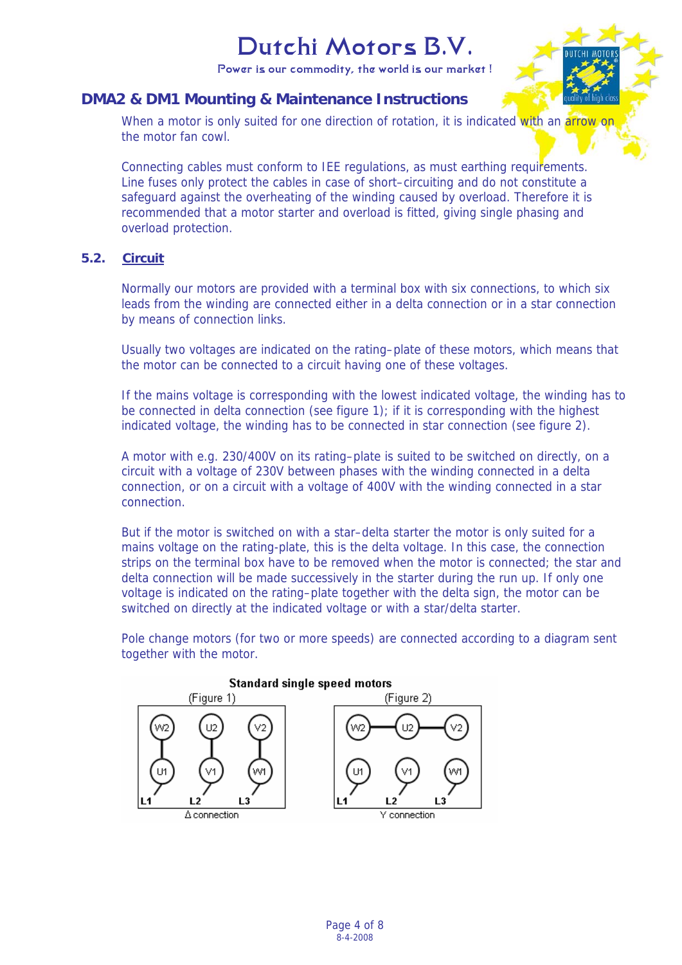Power is our commodity, the world is our market !

# **DMA2 & DM1 Mounting & Maintenance Instructions**

When a motor is only suited for one direction of rotation, it is indicated with an arrow on the motor fan cowl.

Connecting cables must conform to IEE regulations, as must earthing requirements. Line fuses only protect the cables in case of short–circuiting and do not constitute a safeguard against the overheating of the winding caused by overload. Therefore it is recommended that a motor starter and overload is fitted, giving single phasing and overload protection.

# **5.2. Circuit**

Normally our motors are provided with a terminal box with six connections, to which six leads from the winding are connected either in a delta connection or in a star connection by means of connection links.

Usually two voltages are indicated on the rating–plate of these motors, which means that the motor can be connected to a circuit having one of these voltages.

If the mains voltage is corresponding with the lowest indicated voltage, the winding has to be connected in delta connection (see figure 1); if it is corresponding with the highest indicated voltage, the winding has to be connected in star connection (see figure 2).

A motor with e.g. 230/400V on its rating–plate is suited to be switched on directly, on a circuit with a voltage of 230V between phases with the winding connected in a delta connection, or on a circuit with a voltage of 400V with the winding connected in a star connection.

But if the motor is switched on with a star–delta starter the motor is only suited for a mains voltage on the rating-plate, this is the delta voltage. In this case, the connection strips on the terminal box have to be removed when the motor is connected; the star and delta connection will be made successively in the starter during the run up. If only one voltage is indicated on the rating–plate together with the delta sign, the motor can be switched on directly at the indicated voltage or with a star/delta starter.

Pole change motors (for two or more speeds) are connected according to a diagram sent together with the motor.

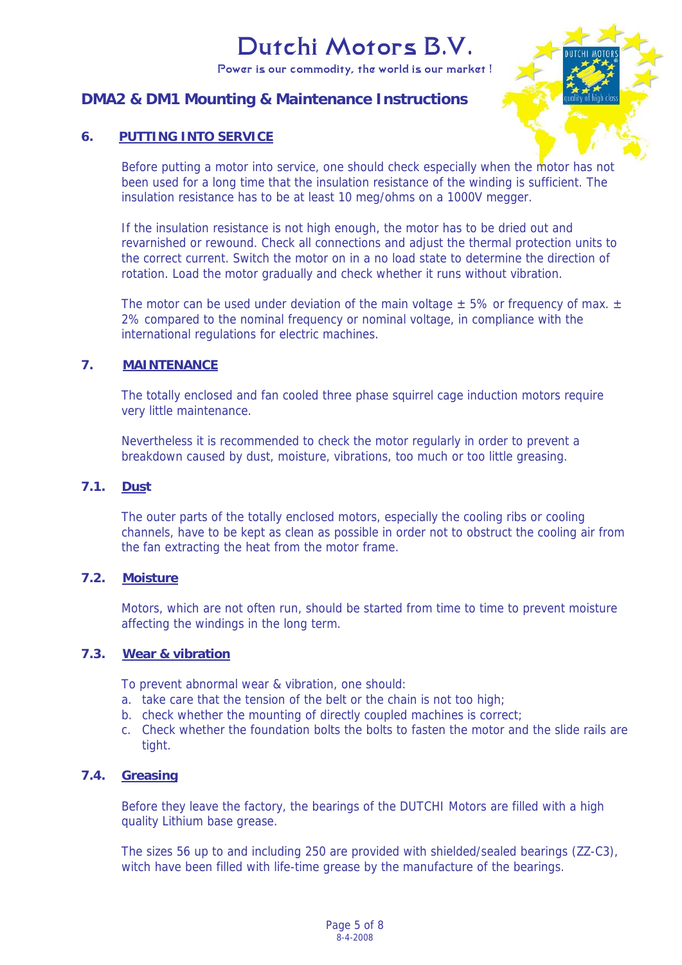Power is our commodity, the world is our market !

# **DMA2 & DM1 Mounting & Maintenance Instructions**



# **6. PUTTING INTO SERVICE**

Before putting a motor into service, one should check especially when the motor has not been used for a long time that the insulation resistance of the winding is sufficient. The insulation resistance has to be at least 10 meg/ohms on a 1000V megger.

If the insulation resistance is not high enough, the motor has to be dried out and revarnished or rewound. Check all connections and adjust the thermal protection units to the correct current. Switch the motor on in a no load state to determine the direction of rotation. Load the motor gradually and check whether it runs without vibration.

The motor can be used under deviation of the main voltage  $\pm$  5% or frequency of max.  $\pm$ 2% compared to the nominal frequency or nominal voltage, in compliance with the international regulations for electric machines.

# **7. MAINTENANCE**

The totally enclosed and fan cooled three phase squirrel cage induction motors require very little maintenance.

Nevertheless it is recommended to check the motor regularly in order to prevent a breakdown caused by dust, moisture, vibrations, too much or too little greasing.

# **7.1. Dust**

The outer parts of the totally enclosed motors, especially the cooling ribs or cooling channels, have to be kept as clean as possible in order not to obstruct the cooling air from the fan extracting the heat from the motor frame.

# **7.2. Moisture**

Motors, which are not often run, should be started from time to time to prevent moisture affecting the windings in the long term.

# **7.3. Wear & vibration**

To prevent abnormal wear & vibration, one should:

- a. take care that the tension of the belt or the chain is not too high:
- b. check whether the mounting of directly coupled machines is correct;
- c. Check whether the foundation bolts the bolts to fasten the motor and the slide rails are tight.

# **7.4. Greasing**

Before they leave the factory, the bearings of the DUTCHI Motors are filled with a high quality Lithium base grease.

The sizes 56 up to and including 250 are provided with shielded/sealed bearings (ZZ-C3), witch have been filled with life-time grease by the manufacture of the bearings.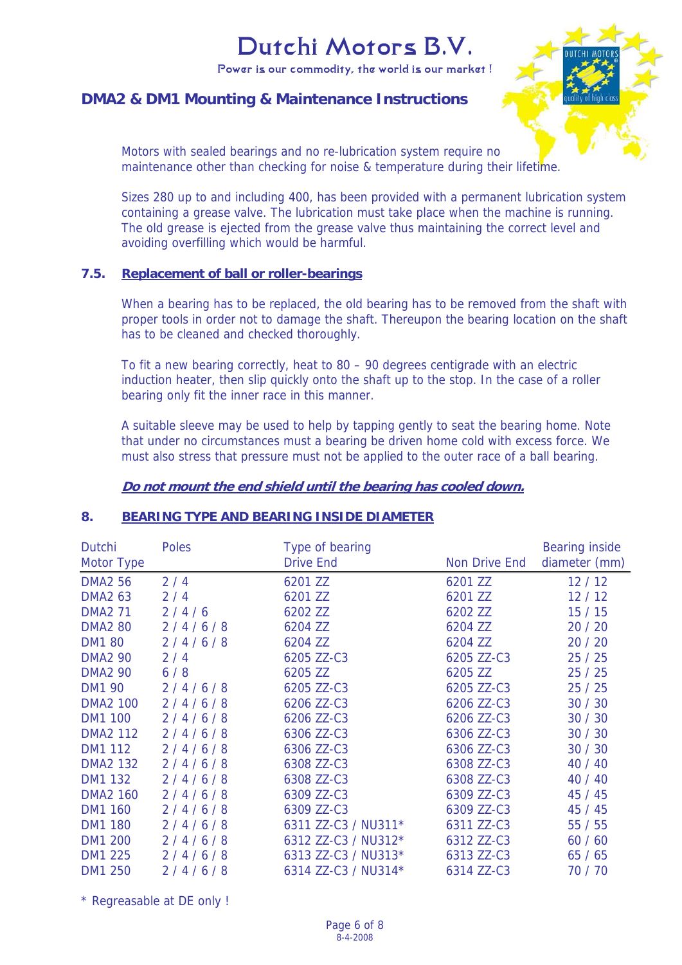Power is our commodity, the world is our market !

# **DMA2 & DM1 Mounting & Maintenance Instructions**



Motors with sealed bearings and no re-lubrication system require no maintenance other than checking for noise & temperature during their lifetime.

Sizes 280 up to and including 400, has been provided with a permanent lubrication system containing a grease valve. The lubrication must take place when the machine is running. The old grease is ejected from the grease valve thus maintaining the correct level and avoiding overfilling which would be harmful.

#### **7.5. Replacement of ball or roller-bearings**

When a bearing has to be replaced, the old bearing has to be removed from the shaft with proper tools in order not to damage the shaft. Thereupon the bearing location on the shaft has to be cleaned and checked thoroughly.

To fit a new bearing correctly, heat to 80 – 90 degrees centigrade with an electric induction heater, then slip quickly onto the shaft up to the stop. In the case of a roller bearing only fit the inner race in this manner.

A suitable sleeve may be used to help by tapping gently to seat the bearing home. Note that under no circumstances must a bearing be driven home cold with excess force. We must also stress that pressure must not be applied to the outer race of a ball bearing.

#### **Do not mount the end shield until the bearing has cooled down.**

# **8. BEARING TYPE AND BEARING INSIDE DIAMETER**

| Dutchi<br>Motor Type | <b>Poles</b> | Type of bearing<br><b>Drive End</b> | Non Drive End | <b>Bearing inside</b><br>diameter (mm) |
|----------------------|--------------|-------------------------------------|---------------|----------------------------------------|
| <b>DMA2 56</b>       | 2/4          | 6201 ZZ                             | 6201 ZZ       | 12/12                                  |
| <b>DMA2 63</b>       | 2/4          | 6201 ZZ                             | 6201 ZZ       | 12/12                                  |
| <b>DMA2 71</b>       | 2/4/6        | 6202 ZZ                             | 6202 ZZ       | 15/15                                  |
| <b>DMA2 80</b>       | 2/4/6/8      | 6204 ZZ                             | 6204 ZZ       | 20 / 20                                |
| <b>DM1 80</b>        | 2/4/6/8      | 6204 ZZ                             | 6204 ZZ       | 20/20                                  |
| <b>DMA2 90</b>       | 2/4          | 6205 ZZ-C3                          | 6205 ZZ-C3    | 25/25                                  |
| <b>DMA2 90</b>       | 6/8          | 6205 ZZ                             | 6205 ZZ       | 25/25                                  |
| <b>DM1 90</b>        | 2/4/6/8      | 6205 ZZ-C3                          | 6205 ZZ-C3    | 25/25                                  |
| <b>DMA2 100</b>      | 2/4/6/8      | 6206 ZZ-C3                          | 6206 ZZ-C3    | 30/30                                  |
| <b>DM1 100</b>       | 2/4/6/8      | 6206 ZZ-C3                          | 6206 ZZ-C3    | 30/30                                  |
| <b>DMA2 112</b>      | 2/4/6/8      | 6306 ZZ-C3                          | 6306 ZZ-C3    | 30/30                                  |
| <b>DM1 112</b>       | 2/4/6/8      | 6306 ZZ-C3                          | 6306 ZZ-C3    | 30/30                                  |
| <b>DMA2 132</b>      | 2/4/6/8      | 6308 ZZ-C3                          | 6308 ZZ-C3    | 40 / 40                                |
| <b>DM1 132</b>       | 2/4/6/8      | 6308 ZZ-C3                          | 6308 ZZ-C3    | 40 / 40                                |
| <b>DMA2 160</b>      | 2/4/6/8      | 6309 ZZ-C3                          | 6309 ZZ-C3    | 45 / 45                                |
| <b>DM1 160</b>       | 2/4/6/8      | 6309 ZZ-C3                          | 6309 ZZ-C3    | 45 / 45                                |
| <b>DM1 180</b>       | 2/4/6/8      | 6311 ZZ-C3 / NU311*                 | 6311 ZZ-C3    | 55/55                                  |
| <b>DM1 200</b>       | 2/4/6/8      | 6312 ZZ-C3 / NU312*                 | 6312 ZZ-C3    | 60/60                                  |
| <b>DM1 225</b>       | 2/4/6/8      | 6313 ZZ-C3 / NU313*                 | 6313 ZZ-C3    | 65/65                                  |
| <b>DM1 250</b>       | 2/4/6/8      | 6314 ZZ-C3 / NU314*                 | 6314 ZZ-C3    | 70 / 70                                |

\* Regreasable at DE only !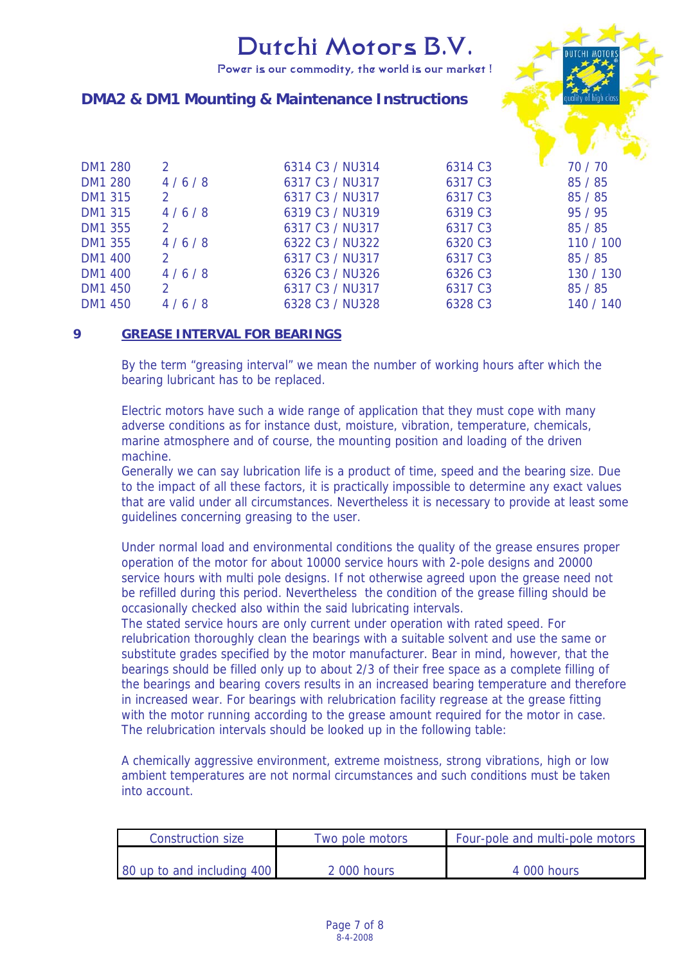Power is our commodity, the world is our market !



# **DMA2 & DM1 Mounting & Maintenance Instructions**

| DM1 280        | 2             | 6314 C3 / NU314 | 6314 C3             | 70 / 70   |
|----------------|---------------|-----------------|---------------------|-----------|
| <b>DM1 280</b> | 4/6/8         | 6317 C3 / NU317 | 6317 C3             | 85 / 85   |
| DM1 315        | 2             | 6317 C3 / NU317 | 6317 C3             | 85/85     |
| DM1 315        | 4/6/8         | 6319 C3 / NU319 | 6319 C <sub>3</sub> | 95 / 95   |
| DM1 355        | $\mathcal{P}$ | 6317 C3 / NU317 | 6317 C3             | 85 / 85   |
| DM1 355        | 4/6/8         | 6322 C3 / NU322 | 6320 C3             | 110 / 100 |
| DM1 400        | $\mathcal{P}$ | 6317 C3 / NU317 | 6317 C <sub>3</sub> | 85/85     |
| DM1 400        | 4/6/8         | 6326 C3 / NU326 | 6326 C3             | 130 / 130 |
| DM1 450        | $\mathcal{P}$ | 6317 C3 / NU317 | 6317 C <sub>3</sub> | 85/85     |
| DM1 450        | 4/6/8         | 6328 C3 / NU328 | 6328 C3             | 140 / 140 |
|                |               |                 |                     |           |

# **9 GREASE INTERVAL FOR BEARINGS**

By the term "greasing interval" we mean the number of working hours after which the bearing lubricant has to be replaced.

Electric motors have such a wide range of application that they must cope with many adverse conditions as for instance dust, moisture, vibration, temperature, chemicals, marine atmosphere and of course, the mounting position and loading of the driven machine.

Generally we can say lubrication life is a product of time, speed and the bearing size. Due to the impact of all these factors, it is practically impossible to determine any exact values that are valid under all circumstances. Nevertheless it is necessary to provide at least some guidelines concerning greasing to the user.

Under normal load and environmental conditions the quality of the grease ensures proper operation of the motor for about 10000 service hours with 2-pole designs and 20000 service hours with multi pole designs. If not otherwise agreed upon the grease need not be refilled during this period. Nevertheless the condition of the grease filling should be occasionally checked also within the said lubricating intervals.

The stated service hours are only current under operation with rated speed. For relubrication thoroughly clean the bearings with a suitable solvent and use the same or substitute grades specified by the motor manufacturer. Bear in mind, however, that the bearings should be filled only up to about 2/3 of their free space as a complete filling of the bearings and bearing covers results in an increased bearing temperature and therefore in increased wear. For bearings with relubrication facility regrease at the grease fitting with the motor running according to the grease amount required for the motor in case. The relubrication intervals should be looked up in the following table:

A chemically aggressive environment, extreme moistness, strong vibrations, high or low ambient temperatures are not normal circumstances and such conditions must be taken into account.

| Construction size          | Two pole motors | Four-pole and multi-pole motors |
|----------------------------|-----------------|---------------------------------|
|                            |                 |                                 |
| 80 up to and including 400 | $2,000$ hours   | 4 000 hours                     |